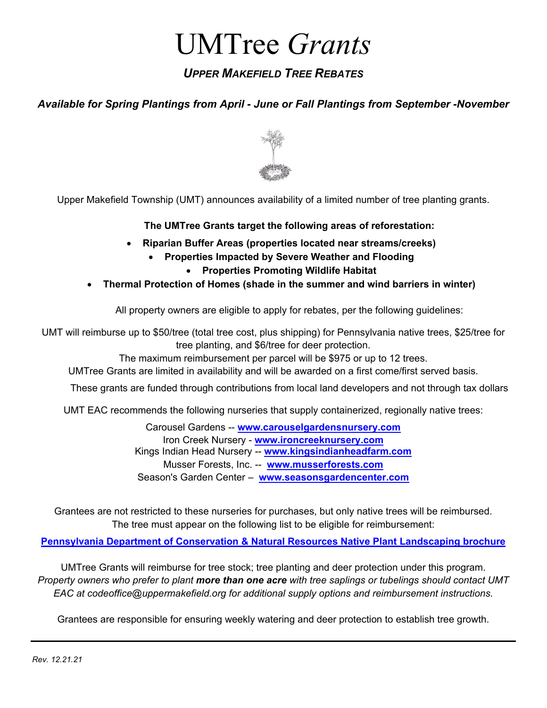# UMTree *Grants*

## *UPPER MAKEFIELD TREE REBATES*

### *Available for Spring Plantings from April - June or Fall Plantings from September -November*



Upper Makefield Township (UMT) announces availability of a limited number of tree planting grants.

#### **The UMTree Grants target the following areas of reforestation:**

- **Riparian Buffer Areas (properties located near streams/creeks)**
	- **Properties Impacted by Severe Weather and Flooding**
		- **Properties Promoting Wildlife Habitat**
- **Thermal Protection of Homes (shade in the summer and wind barriers in winter)**

All property owners are eligible to apply for rebates, per the following guidelines:

UMT will reimburse up to \$50/tree (total tree cost, plus shipping) for Pennsylvania native trees, \$25/tree for tree planting, and \$6/tree for deer protection.

The maximum reimbursement per parcel will be \$975 or up to 12 trees.

UMTree Grants are limited in availability and will be awarded on a first come/first served basis.

These grants are funded through contributions from local land developers and not through tax dollars

UMT EAC recommends the following nurseries that supply containerized, regionally native trees:

Carousel Gardens -- **[www.carouselgardensnursery.com](http://www.carouselgardensnursery.com/)** Iron Creek Nursery - **www[.ironcreeknursery.](http://www.ironcreeknursery.com/)com** Kings Indian Head Nursery -- **[www.kingsindianheadfarm.com](http://www.kingsindianheadfarm.com/)** Musser Forests, Inc. -- **[www.musserforests.com](http://www.musserforests.com/browse.asp?m=2&p=360)** Season's Garden Center – **[www.seasonsgardencenter.com](http://www.seasonsgardencenter.com/)**

Grantees are not restricted to these nurseries for purchases, but only native trees will be reimbursed. The tree must appear on the following list to be eligible for reimbursement:

**[Pennsylvania Department of Conservation & Natural Resources Native Plant](http://elibrary.dcnr.pa.gov/GetDocument?docId=1742582&DocName=sf-Native_Plants_Landscaping-brochure.pdf) Landscaping brochure**

UMTree Grants will reimburse for tree stock; tree planting and deer protection under this program. *Property owners who prefer to plant more than one acre with tree saplings or tubelings should contact UMT EAC at codeoffice@uppermakefield.org for additional supply options and reimbursement instructions.*

Grantees are responsible for ensuring weekly watering and deer protection to establish tree growth.